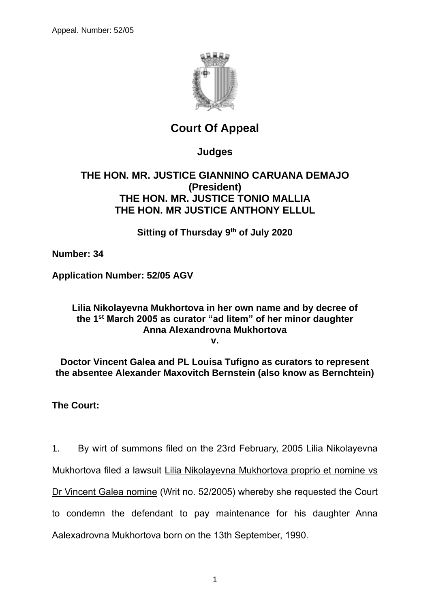

# **Court Of Appeal**

# **Judges**

### **THE HON. MR. JUSTICE GIANNINO CARUANA DEMAJO (President) THE HON. MR. JUSTICE TONIO MALLIA THE HON. MR JUSTICE ANTHONY ELLUL**

**Sitting of Thursday 9th of July 2020**

**Number: 34**

**Application Number: 52/05 AGV**

## **Lilia Nikolayevna Mukhortova in her own name and by decree of the 1st March 2005 as curator "ad litem" of her minor daughter Anna Alexandrovna Mukhortova**

**v.**

**Doctor Vincent Galea and PL Louisa Tufigno as curators to represent the absentee Alexander Maxovitch Bernstein (also know as Bernchtein)**

## **The Court:**

1. By wirt of summons filed on the 23rd February, 2005 Lilia Nikolayevna

Mukhortova filed a lawsuit Lilia Nikolayevna Mukhortova proprio et nomine vs

Dr Vincent Galea nomine (Writ no. 52/2005) whereby she requested the Court

to condemn the defendant to pay maintenance for his daughter Anna

Aalexadrovna Mukhortova born on the 13th September, 1990.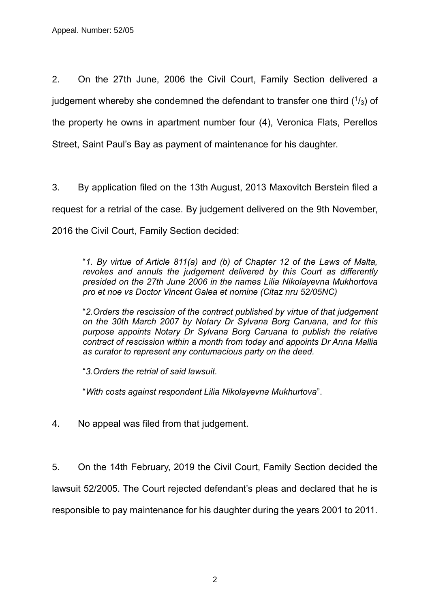2. On the 27th June, 2006 the Civil Court, Family Section delivered a judgement whereby she condemned the defendant to transfer one third  $(1/3)$  of the property he owns in apartment number four (4), Veronica Flats, Perellos Street, Saint Paul's Bay as payment of maintenance for his daughter.

3. By application filed on the 13th August, 2013 Maxovitch Berstein filed a request for a retrial of the case. By judgement delivered on the 9th November, 2016 the Civil Court, Family Section decided:

"*1. By virtue of Article 811(a) and (b) of Chapter 12 of the Laws of Malta, revokes and annuls the judgement delivered by this Court as differently presided on the 27th June 2006 in the names Lilia Nikolayevna Mukhortova pro et noe vs Doctor Vincent Galea et nomine (Citaz nru 52/05NC)*

"*2.Orders the rescission of the contract published by virtue of that judgement on the 30th March 2007 by Notary Dr Sylvana Borg Caruana, and for this purpose appoints Notary Dr Sylvana Borg Caruana to publish the relative contract of rescission within a month from today and appoints Dr Anna Mallia as curator to represent any contumacious party on the deed.*

"*3.Orders the retrial of said lawsuit.*

"*With costs against respondent Lilia Nikolayevna Mukhurtova*".

4. No appeal was filed from that judgement.

5. On the 14th February, 2019 the Civil Court, Family Section decided the lawsuit 52/2005. The Court rejected defendant's pleas and declared that he is responsible to pay maintenance for his daughter during the years 2001 to 2011.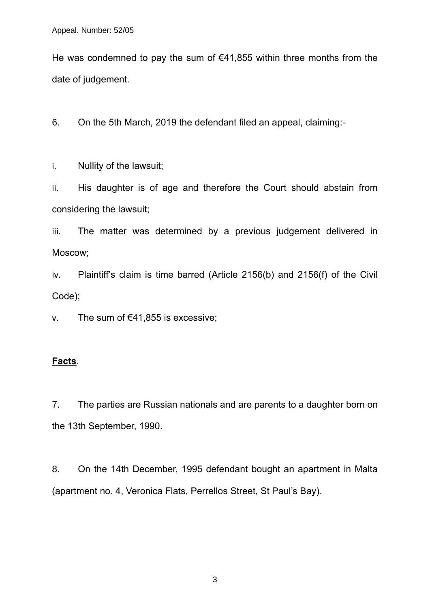He was condemned to pay the sum of  $€41,855$  within three months from the date of judgement.

6. On the 5th March, 2019 the defendant filed an appeal, claiming:-

i. Nullity of the lawsuit;

ii. His daughter is of age and therefore the Court should abstain from considering the lawsuit;

iii. The matter was determined by a previous judgement delivered in Moscow;

iv. Plaintiff's claim is time barred (Article 2156(b) and 2156(f) of the Civil Code);

v. The sum of  $€41,855$  is excessive;

### **Facts**.

7. The parties are Russian nationals and are parents to a daughter born on the 13th September, 1990.

8. On the 14th December, 1995 defendant bought an apartment in Malta (apartment no. 4, Veronica Flats, Perrellos Street, St Paul's Bay).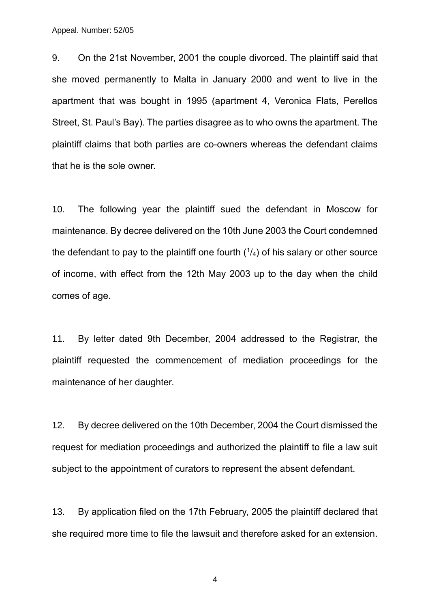Appeal. Number: 52/05

9. On the 21st November, 2001 the couple divorced. The plaintiff said that she moved permanently to Malta in January 2000 and went to live in the apartment that was bought in 1995 (apartment 4, Veronica Flats, Perellos Street, St. Paul's Bay). The parties disagree as to who owns the apartment. The plaintiff claims that both parties are co-owners whereas the defendant claims that he is the sole owner.

10. The following year the plaintiff sued the defendant in Moscow for maintenance. By decree delivered on the 10th June 2003 the Court condemned the defendant to pay to the plaintiff one fourth  $(1/4)$  of his salary or other source of income, with effect from the 12th May 2003 up to the day when the child comes of age.

11. By letter dated 9th December, 2004 addressed to the Registrar, the plaintiff requested the commencement of mediation proceedings for the maintenance of her daughter.

12. By decree delivered on the 10th December, 2004 the Court dismissed the request for mediation proceedings and authorized the plaintiff to file a law suit subject to the appointment of curators to represent the absent defendant.

13. By application filed on the 17th February, 2005 the plaintiff declared that she required more time to file the lawsuit and therefore asked for an extension.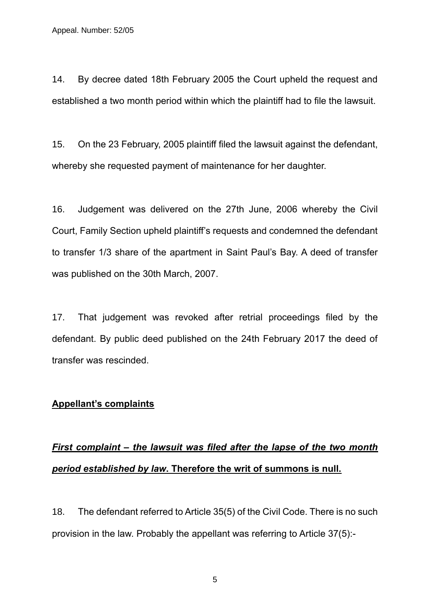14. By decree dated 18th February 2005 the Court upheld the request and established a two month period within which the plaintiff had to file the lawsuit.

15. On the 23 February, 2005 plaintiff filed the lawsuit against the defendant, whereby she requested payment of maintenance for her daughter.

16. Judgement was delivered on the 27th June, 2006 whereby the Civil Court, Family Section upheld plaintiff's requests and condemned the defendant to transfer 1/3 share of the apartment in Saint Paul's Bay. A deed of transfer was published on the 30th March, 2007.

17. That judgement was revoked after retrial proceedings filed by the defendant. By public deed published on the 24th February 2017 the deed of transfer was rescinded.

### **Appellant's complaints**

# *First complaint – the lawsuit was filed after the lapse of the two month period established by law***. Therefore the writ of summons is null.**

18. The defendant referred to Article 35(5) of the Civil Code. There is no such provision in the law. Probably the appellant was referring to Article 37(5):-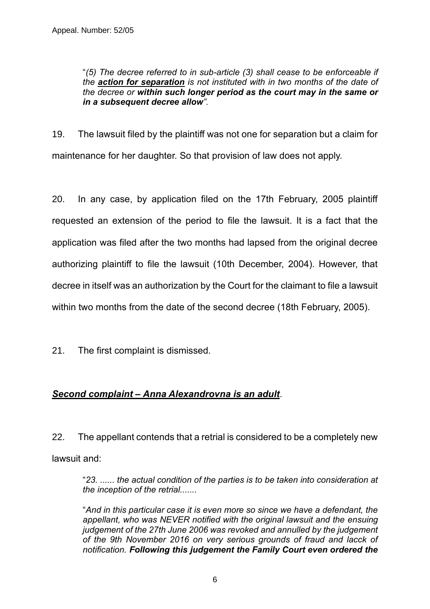"*(5) The decree referred to in sub-article (3) shall cease to be enforceable if the action for separation is not instituted with in two months of the date of the decree or within such longer period as the court may in the same or in a subsequent decree allow"*.

19. The lawsuit filed by the plaintiff was not one for separation but a claim for maintenance for her daughter. So that provision of law does not apply.

20. In any case, by application filed on the 17th February, 2005 plaintiff requested an extension of the period to file the lawsuit. It is a fact that the application was filed after the two months had lapsed from the original decree authorizing plaintiff to file the lawsuit (10th December, 2004). However, that decree in itself was an authorization by the Court for the claimant to file a lawsuit within two months from the date of the second decree (18th February, 2005).

21. The first complaint is dismissed.

### *Second complaint – Anna Alexandrovna is an adult*.

22. The appellant contends that a retrial is considered to be a completely new lawsuit and:

"*23. ...... the actual condition of the parties is to be taken into consideration at the inception of the retrial.......*

"*And in this particular case it is even more so since we have a defendant, the appellant, who was NEVER notified with the original lawsuit and the ensuing judgement of the 27th June 2006 was revoked and annulled by the judgement of the 9th November 2016 on very serious grounds of fraud and lacck of notification. Following this judgement the Family Court even ordered the*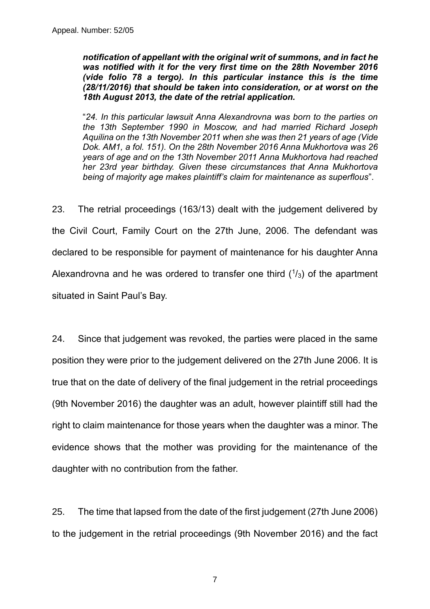*notification of appellant with the original writ of summons, and in fact he was notified with it for the very first time on the 28th November 2016 (vide folio 78 a tergo). In this particular instance this is the time (28/11/2016) that should be taken into consideration, or at worst on the 18th August 2013, the date of the retrial application.*

"*24. In this particular lawsuit Anna Alexandrovna was born to the parties on the 13th September 1990 in Moscow, and had married Richard Joseph Aquilina on the 13th November 2011 when she was then 21 years of age (Vide Dok. AM1, a fol. 151). On the 28th November 2016 Anna Mukhortova was 26 years of age and on the 13th November 2011 Anna Mukhortova had reached her 23rd year birthday. Given these circumstances that Anna Mukhortova being of majority age makes plaintiff's claim for maintenance as superflous*".

23. The retrial proceedings (163/13) dealt with the judgement delivered by the Civil Court, Family Court on the 27th June, 2006. The defendant was declared to be responsible for payment of maintenance for his daughter Anna Alexandrovna and he was ordered to transfer one third  $(1/3)$  of the apartment situated in Saint Paul's Bay.

24. Since that judgement was revoked, the parties were placed in the same position they were prior to the judgement delivered on the 27th June 2006. It is true that on the date of delivery of the final judgement in the retrial proceedings (9th November 2016) the daughter was an adult, however plaintiff still had the right to claim maintenance for those years when the daughter was a minor. The evidence shows that the mother was providing for the maintenance of the daughter with no contribution from the father.

25. The time that lapsed from the date of the first judgement (27th June 2006) to the judgement in the retrial proceedings (9th November 2016) and the fact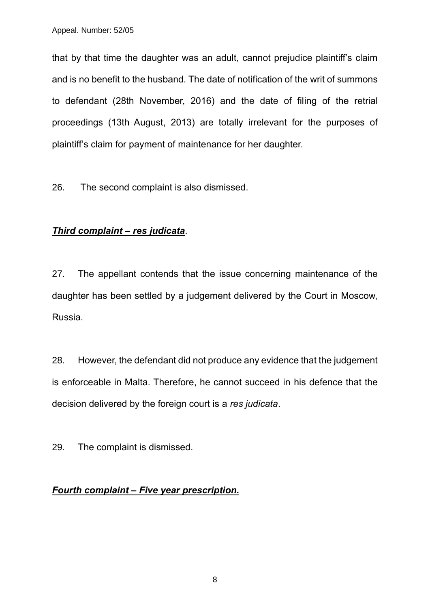that by that time the daughter was an adult, cannot prejudice plaintiff's claim and is no benefit to the husband. The date of notification of the writ of summons to defendant (28th November, 2016) and the date of filing of the retrial proceedings (13th August, 2013) are totally irrelevant for the purposes of plaintiff's claim for payment of maintenance for her daughter.

26. The second complaint is also dismissed.

### *Third complaint – res judicata*.

27. The appellant contends that the issue concerning maintenance of the daughter has been settled by a judgement delivered by the Court in Moscow, Russia.

28. However, the defendant did not produce any evidence that the judgement is enforceable in Malta. Therefore, he cannot succeed in his defence that the decision delivered by the foreign court is a *res judicata*.

29. The complaint is dismissed.

### *Fourth complaint – Five year prescription.*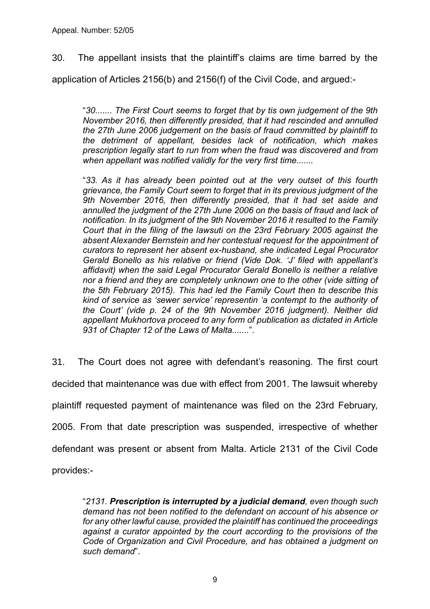30. The appellant insists that the plaintiff's claims are time barred by the

application of Articles 2156(b) and 2156(f) of the Civil Code, and argued:-

"*30....... The First Court seems to forget that by tis own judgement of the 9th November 2016, then differently presided, that it had rescinded and annulled the 27th June 2006 judgement on the basis of fraud committed by plaintiff to the detriment of appellant, besides lack of notification, which makes prescription legally start to run from when the fraud was discovered and from when appellant was notified validly for the very first time.......*

"*33. As it has already been pointed out at the very outset of this fourth grievance, the Family Court seem to forget that in its previous judgment of the 9th November 2016, then differently presided, that it had set aside and annulled the judgment of the 27th June 2006 on the basis of fraud and lack of notification. In its judgment of the 9th November 2016 it resulted to the Family Court that in the filing of the lawsuti on the 23rd February 2005 against the absent Alexander Bernstein and her contestual request for the appointment of curators to represent her absent ex-husband, she indicated Legal Procurator Gerald Bonello as his relative or friend (Vide Dok. 'J' filed with appellant's affidavit) when the said Legal Procurator Gerald Bonello is neither a relative nor a friend and they are completely unknown one to the other (vide sitting of the 5th February 2015). This had led the Family Court then to describe this kind of service as 'sewer service' representin 'a contempt to the authority of the Court' (vide p. 24 of the 9th November 2016 judgment). Neither did appellant Mukhortova proceed to any form of publication as dictated in Article 931 of Chapter 12 of the Laws of Malta.......*".

31. The Court does not agree with defendant's reasoning. The first court decided that maintenance was due with effect from 2001. The lawsuit whereby plaintiff requested payment of maintenance was filed on the 23rd February, 2005. From that date prescription was suspended, irrespective of whether defendant was present or absent from Malta. Article 2131 of the Civil Code provides:-

"*2131. Prescription is interrupted by a judicial demand, even though such demand has not been notified to the defendant on account of his absence or for any other lawful cause, provided the plaintiff has continued the proceedings against a curator appointed by the court according to the provisions of the Code of Organization and Civil Procedure, and has obtained a judgment on such demand*".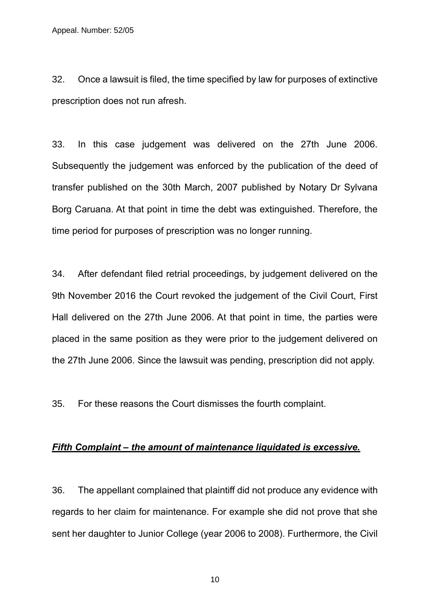32. Once a lawsuit is filed, the time specified by law for purposes of extinctive prescription does not run afresh.

33. In this case judgement was delivered on the 27th June 2006. Subsequently the judgement was enforced by the publication of the deed of transfer published on the 30th March, 2007 published by Notary Dr Sylvana Borg Caruana. At that point in time the debt was extinguished. Therefore, the time period for purposes of prescription was no longer running.

34. After defendant filed retrial proceedings, by judgement delivered on the 9th November 2016 the Court revoked the judgement of the Civil Court, First Hall delivered on the 27th June 2006. At that point in time, the parties were placed in the same position as they were prior to the judgement delivered on the 27th June 2006. Since the lawsuit was pending, prescription did not apply.

35. For these reasons the Court dismisses the fourth complaint.

#### *Fifth Complaint – the amount of maintenance liquidated is excessive.*

36. The appellant complained that plaintiff did not produce any evidence with regards to her claim for maintenance. For example she did not prove that she sent her daughter to Junior College (year 2006 to 2008). Furthermore, the Civil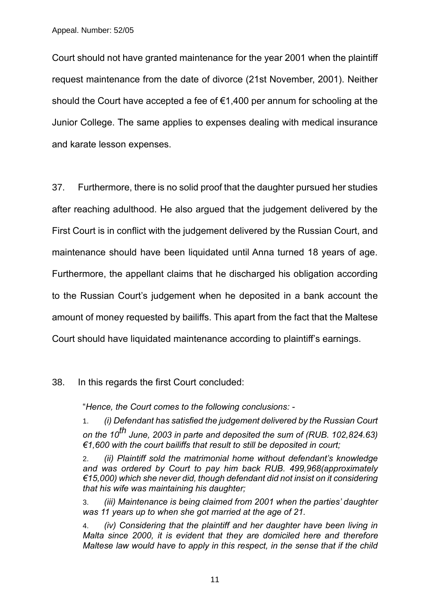Court should not have granted maintenance for the year 2001 when the plaintiff request maintenance from the date of divorce (21st November, 2001). Neither should the Court have accepted a fee of €1,400 per annum for schooling at the Junior College. The same applies to expenses dealing with medical insurance and karate lesson expenses.

37. Furthermore, there is no solid proof that the daughter pursued her studies after reaching adulthood. He also argued that the judgement delivered by the First Court is in conflict with the judgement delivered by the Russian Court, and maintenance should have been liquidated until Anna turned 18 years of age. Furthermore, the appellant claims that he discharged his obligation according to the Russian Court's judgement when he deposited in a bank account the amount of money requested by bailiffs. This apart from the fact that the Maltese Court should have liquidated maintenance according to plaintiff's earnings.

### 38. In this regards the first Court concluded:

"*Hence, the Court comes to the following conclusions: -*

1. *(i) Defendant has satisfied the judgement delivered by the Russian Court on the 10th June, 2003 in parte and deposited the sum of (RUB. 102,824.63) €1,600 with the court bailiffs that result to still be deposited in court;*

2. *(ii) Plaintiff sold the matrimonial home without defendant's knowledge and was ordered by Court to pay him back RUB. 499,968(approximately €15,000) which she never did, though defendant did not insist on it considering that his wife was maintaining his daughter;*

3. *(iii) Maintenance is being claimed from 2001 when the parties' daughter was 11 years up to when she got married at the age of 21.*

(iv) Considering that the plaintiff and her daughter have been living in *Malta since 2000, it is evident that they are domiciled here and therefore Maltese law would have to apply in this respect, in the sense that if the child*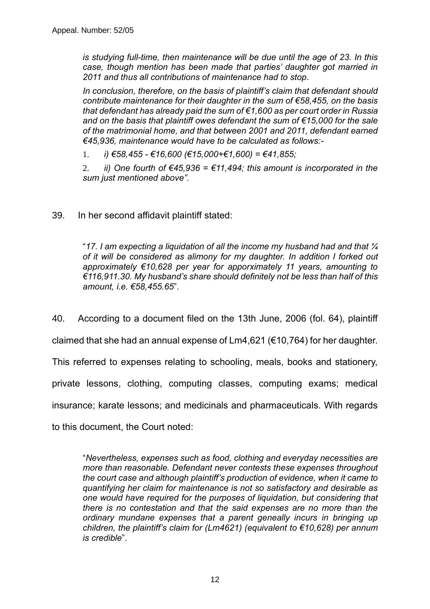*is studying full-time, then maintenance will be due until the age of 23. In this case, though mention has been made that parties' daughter got married in 2011 and thus all contributions of maintenance had to stop.*

*In conclusion, therefore, on the basis of plaintiff's claim that defendant should contribute maintenance for their daughter in the sum of €58,455, on the basis that defendant has already paid the sum of €1,600 as per court order in Russia and on the basis that plaintiff owes defendant the sum of €15,000 for the sale of the matrimonial home, and that between 2001 and 2011, defendant earned €45,936, maintenance would have to be calculated as follows:-*

1. *i) €58,455 - €16,600 (€15,000+€1,600) = €41,855;*

2. *ii*) One fourth of  $\epsilon$ 45,936 =  $\epsilon$ 11,494; this amount is incorporated in the *sum just mentioned above".*

39. In her second affidavit plaintiff stated:

"*17. I am expecting a liquidation of all the income my husband had and that ¼ of it will be considered as alimony for my daughter. In addition I forked out approximately €10,628 per year for apporximately 11 years, amounting to €116,911.30. My husband's share should definitely not be less than half of this amount, i.e. €58,455.65*".

40. According to a document filed on the 13th June, 2006 (fol. 64), plaintiff claimed that she had an annual expense of Lm4,621 (€10,764) for her daughter. This referred to expenses relating to schooling, meals, books and stationery, private lessons, clothing, computing classes, computing exams; medical insurance; karate lessons; and medicinals and pharmaceuticals. With regards to this document, the Court noted:

"*Nevertheless, expenses such as food, clothing and everyday necessities are more than reasonable. Defendant never contests these expenses throughout the court case and although plaintiff's production of evidence, when it came to quantifying her claim for maintenance is not so satisfactory and desirable as one would have required for the purposes of liquidation, but considering that there is no contestation and that the said expenses are no more than the ordinary mundane expenses that a parent geneally incurs in bringing up children, the plaintiff's claim for (Lm4621) (equivalent to €10,628) per annum is credible*".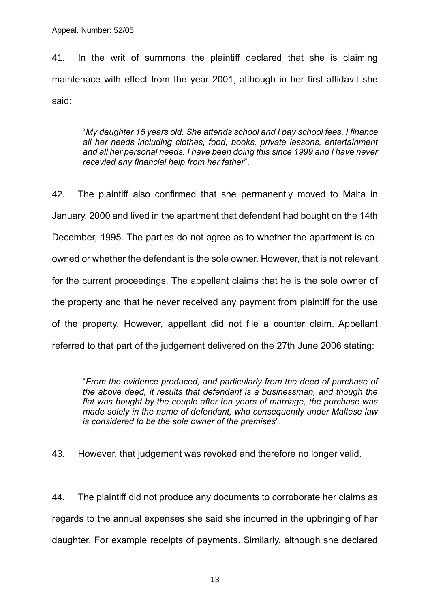41. In the writ of summons the plaintiff declared that she is claiming maintenace with effect from the year 2001, although in her first affidavit she said:

"*My daughter 15 years old. She attends school and I pay school fees. I finance all her needs including clothes, food, books, private lessons, entertainment and all her personal needs. I have been doing this since 1999 and I have never recevied any financial help from her father*".

42. The plaintiff also confirmed that she permanently moved to Malta in January, 2000 and lived in the apartment that defendant had bought on the 14th December, 1995. The parties do not agree as to whether the apartment is coowned or whether the defendant is the sole owner. However, that is not relevant for the current proceedings. The appellant claims that he is the sole owner of the property and that he never received any payment from plaintiff for the use of the property. However, appellant did not file a counter claim. Appellant referred to that part of the judgement delivered on the 27th June 2006 stating:

"*From the evidence produced, and particularly from the deed of purchase of the above deed, it results that defendant is a businessman, and though the flat was bought by the couple after ten years of marriage, the purchase was made solely in the name of defendant, who consequently under Maltese law is considered to be the sole owner of the premises*".

43. However, that judgement was revoked and therefore no longer valid.

44. The plaintiff did not produce any documents to corroborate her claims as regards to the annual expenses she said she incurred in the upbringing of her daughter. For example receipts of payments. Similarly, although she declared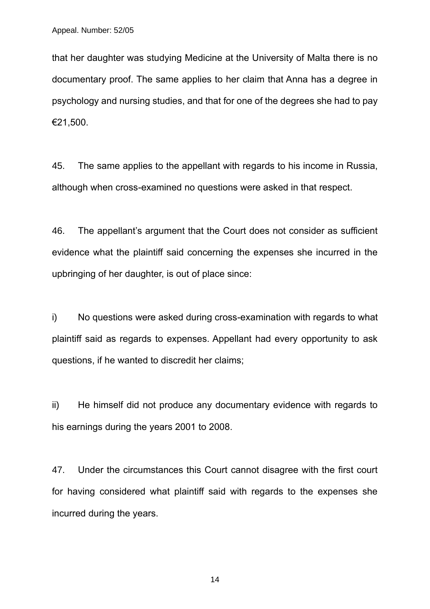that her daughter was studying Medicine at the University of Malta there is no documentary proof. The same applies to her claim that Anna has a degree in psychology and nursing studies, and that for one of the degrees she had to pay €21,500.

45. The same applies to the appellant with regards to his income in Russia, although when cross-examined no questions were asked in that respect.

46. The appellant's argument that the Court does not consider as sufficient evidence what the plaintiff said concerning the expenses she incurred in the upbringing of her daughter, is out of place since:

i) No questions were asked during cross-examination with regards to what plaintiff said as regards to expenses. Appellant had every opportunity to ask questions, if he wanted to discredit her claims;

ii) He himself did not produce any documentary evidence with regards to his earnings during the years 2001 to 2008.

47. Under the circumstances this Court cannot disagree with the first court for having considered what plaintiff said with regards to the expenses she incurred during the years.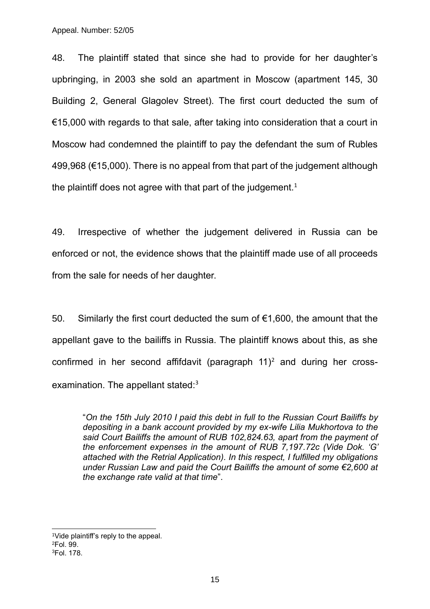Appeal. Number: 52/05

48. The plaintiff stated that since she had to provide for her daughter's upbringing, in 2003 she sold an apartment in Moscow (apartment 145, 30 Building 2, General Glagolev Street). The first court deducted the sum of €15,000 with regards to that sale, after taking into consideration that a court in Moscow had condemned the plaintiff to pay the defendant the sum of Rubles 499,968 (€15,000). There is no appeal from that part of the judgement although the plaintiff does not agree with that part of the judgement.<sup>1</sup>

49. Irrespective of whether the judgement delivered in Russia can be enforced or not, the evidence shows that the plaintiff made use of all proceeds from the sale for needs of her daughter.

50. Similarly the first court deducted the sum of €1,600, the amount that the appellant gave to the bailiffs in Russia. The plaintiff knows about this, as she confirmed in her second affifdavit (paragraph  $11$ )<sup>2</sup> and during her crossexamination. The appellant stated:<sup>3</sup>

"*On the 15th July 2010 I paid this debt in full to the Russian Court Bailiffs by depositing in a bank account provided by my ex-wife Lilia Mukhortova to the said Court Bailiffs the amount of RUB 102,824.63, apart from the payment of the enforcement expenses in the amount of RUB 7,197.72c (Vide Dok. 'G' attached with the Retrial Application). In this respect, I fulfilled my obligations under Russian Law and paid the Court Bailiffs the amount of some €2,600 at the exchange rate valid at that time*".

<sup>1</sup>Vide plaintiff's reply to the appeal. <sup>2</sup>Fol. 99. 3Fol. 178.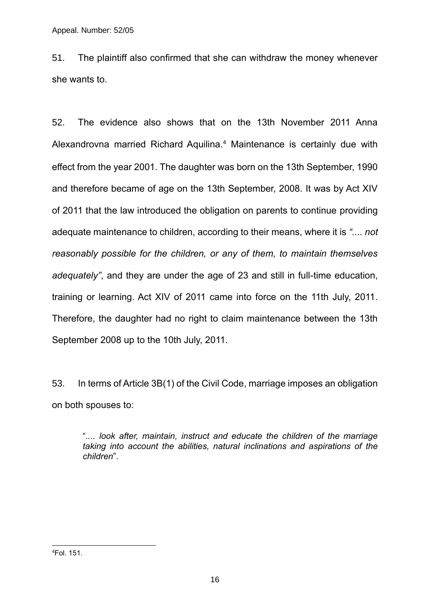51. The plaintiff also confirmed that she can withdraw the money whenever she wants to.

52. The evidence also shows that on the 13th November 2011 Anna Alexandrovna married Richard Aquilina.<sup>4</sup> Maintenance is certainly due with effect from the year 2001. The daughter was born on the 13th September, 1990 and therefore became of age on the 13th September, 2008. It was by Act XIV of 2011 that the law introduced the obligation on parents to continue providing adequate maintenance to children, according to their means, where it is *".... not reasonably possible for the children, or any of them, to maintain themselves adequately"*, and they are under the age of 23 and still in full-time education, training or learning. Act XIV of 2011 came into force on the 11th July, 2011. Therefore, the daughter had no right to claim maintenance between the 13th September 2008 up to the 10th July, 2011.

53. In terms of Article 3B(1) of the Civil Code, marriage imposes an obligation on both spouses to:

"*.... look after, maintain, instruct and educate the children of the marriage taking into account the abilities, natural inclinations and aspirations of the children*".

4Fol. 151.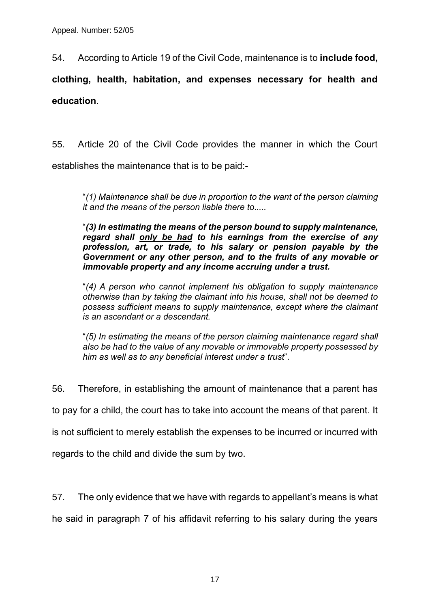54. According to Article 19 of the Civil Code, maintenance is to **include food,** 

**clothing, health, habitation, and expenses necessary for health and education**.

55. Article 20 of the Civil Code provides the manner in which the Court establishes the maintenance that is to be paid:-

"*(1) Maintenance shall be due in proportion to the want of the person claiming it and the means of the person liable there to.....*

"*(3) In estimating the means of the person bound to supply maintenance, regard shall only be had to his earnings from the exercise of any profession, art, or trade, to his salary or pension payable by the Government or any other person, and to the fruits of any movable or immovable property and any income accruing under a trust.*

"*(4) A person who cannot implement his obligation to supply maintenance otherwise than by taking the claimant into his house, shall not be deemed to possess sufficient means to supply maintenance, except where the claimant is an ascendant or a descendant.*

"*(5) In estimating the means of the person claiming maintenance regard shall also be had to the value of any movable or immovable property possessed by him as well as to any beneficial interest under a trust*".

56. Therefore, in establishing the amount of maintenance that a parent has

to pay for a child, the court has to take into account the means of that parent. It

is not sufficient to merely establish the expenses to be incurred or incurred with

regards to the child and divide the sum by two.

57. The only evidence that we have with regards to appellant's means is what

he said in paragraph 7 of his affidavit referring to his salary during the years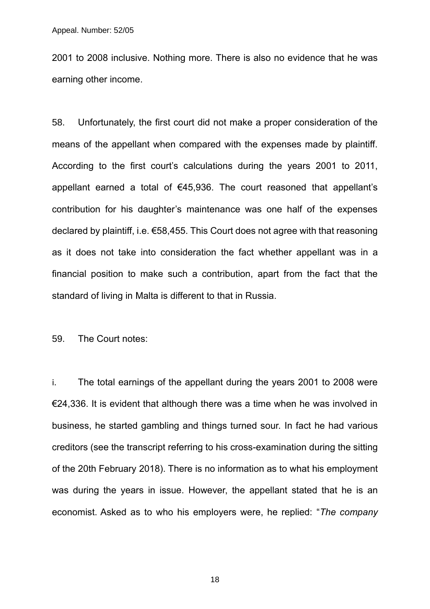2001 to 2008 inclusive. Nothing more. There is also no evidence that he was earning other income.

58. Unfortunately, the first court did not make a proper consideration of the means of the appellant when compared with the expenses made by plaintiff. According to the first court's calculations during the years 2001 to 2011, appellant earned a total of €45,936. The court reasoned that appellant's contribution for his daughter's maintenance was one half of the expenses declared by plaintiff, i.e. €58,455. This Court does not agree with that reasoning as it does not take into consideration the fact whether appellant was in a financial position to make such a contribution, apart from the fact that the standard of living in Malta is different to that in Russia.

59. The Court notes:

i. The total earnings of the appellant during the years 2001 to 2008 were €24,336. It is evident that although there was a time when he was involved in business, he started gambling and things turned sour. In fact he had various creditors (see the transcript referring to his cross-examination during the sitting of the 20th February 2018). There is no information as to what his employment was during the years in issue. However, the appellant stated that he is an economist. Asked as to who his employers were, he replied: "*The company*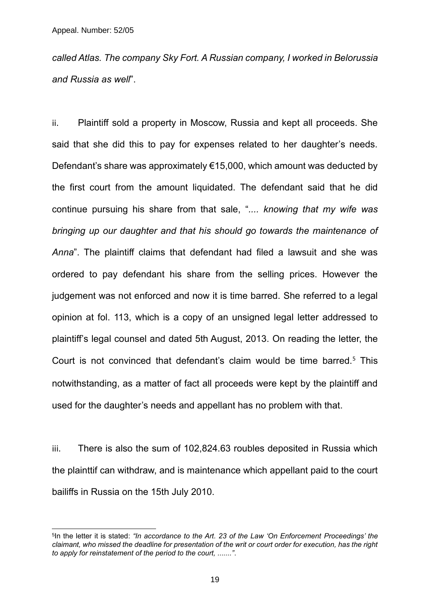*called Atlas. The company Sky Fort. A Russian company, I worked in Belorussia and Russia as well*".

ii. Plaintiff sold a property in Moscow, Russia and kept all proceeds. She said that she did this to pay for expenses related to her daughter's needs. Defendant's share was approximately €15,000, which amount was deducted by the first court from the amount liquidated. The defendant said that he did continue pursuing his share from that sale, "*.... knowing that my wife was bringing up our daughter and that his should go towards the maintenance of Anna*". The plaintiff claims that defendant had filed a lawsuit and she was ordered to pay defendant his share from the selling prices. However the judgement was not enforced and now it is time barred. She referred to a legal opinion at fol. 113, which is a copy of an unsigned legal letter addressed to plaintiff's legal counsel and dated 5th August, 2013. On reading the letter, the Court is not convinced that defendant's claim would be time barred.<sup>5</sup> This notwithstanding, as a matter of fact all proceeds were kept by the plaintiff and used for the daughter's needs and appellant has no problem with that.

iii. There is also the sum of 102,824.63 roubles deposited in Russia which the plainttif can withdraw, and is maintenance which appellant paid to the court bailiffs in Russia on the 15th July 2010.

<sup>5</sup> In the letter it is stated: *"In accordance to the Art. 23 of the Law 'On Enforcement Proceedings' the claimant, who missed the deadline for presentation of the writ or court order for execution, has the right to apply for reinstatement of the period to the court, ......."*.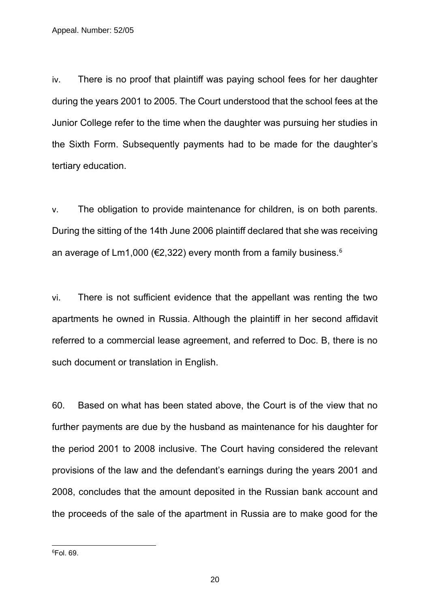iv. There is no proof that plaintiff was paying school fees for her daughter during the years 2001 to 2005. The Court understood that the school fees at the Junior College refer to the time when the daughter was pursuing her studies in the Sixth Form. Subsequently payments had to be made for the daughter's tertiary education.

v. The obligation to provide maintenance for children, is on both parents. During the sitting of the 14th June 2006 plaintiff declared that she was receiving an average of Lm1,000 ( $\epsilon$ 2,322) every month from a family business.<sup>6</sup>

vi. There is not sufficient evidence that the appellant was renting the two apartments he owned in Russia. Although the plaintiff in her second affidavit referred to a commercial lease agreement, and referred to Doc. B, there is no such document or translation in English.

60. Based on what has been stated above, the Court is of the view that no further payments are due by the husband as maintenance for his daughter for the period 2001 to 2008 inclusive. The Court having considered the relevant provisions of the law and the defendant's earnings during the years 2001 and 2008, concludes that the amount deposited in the Russian bank account and the proceeds of the sale of the apartment in Russia are to make good for the

6Fol. 69.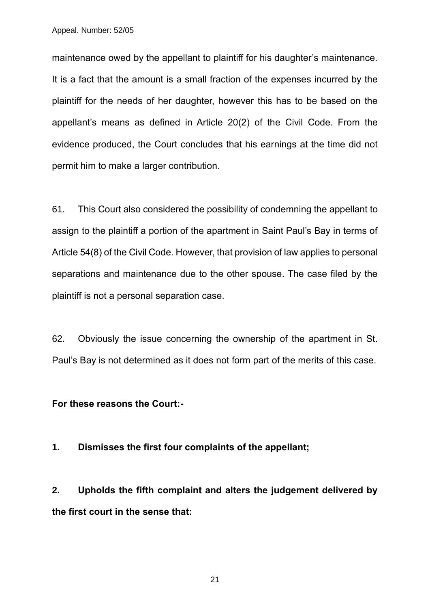Appeal. Number: 52/05

maintenance owed by the appellant to plaintiff for his daughter's maintenance. It is a fact that the amount is a small fraction of the expenses incurred by the plaintiff for the needs of her daughter, however this has to be based on the appellant's means as defined in Article 20(2) of the Civil Code. From the evidence produced, the Court concludes that his earnings at the time did not permit him to make a larger contribution.

61. This Court also considered the possibility of condemning the appellant to assign to the plaintiff a portion of the apartment in Saint Paul's Bay in terms of Article 54(8) of the Civil Code. However, that provision of law applies to personal separations and maintenance due to the other spouse. The case filed by the plaintiff is not a personal separation case.

62. Obviously the issue concerning the ownership of the apartment in St. Paul's Bay is not determined as it does not form part of the merits of this case.

**For these reasons the Court:-**

**1. Dismisses the first four complaints of the appellant;**

**2. Upholds the fifth complaint and alters the judgement delivered by the first court in the sense that:**